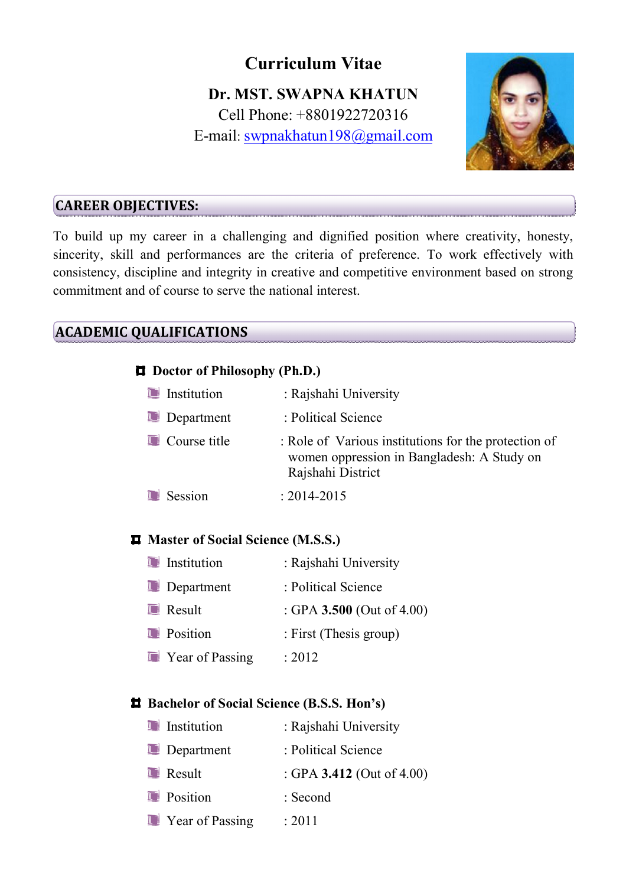# **Curriculum Vitae**

# **Dr. MST. SWAPNA KHATUN**  Cell Phone: +8801922720316 E-mail: swpnakhatun198@gmail.com



#### **CAREER OBJECTIVES:**

To build up my career in a challenging and dignified position where creativity, honesty, sincerity, skill and performances are the criteria of preference. To work effectively with consistency, discipline and integrity in creative and competitive environment based on strong commitment and of course to serve the national interest.

# **ACADEMIC QUALIFICATIONS**

#### **Doctor of Philosophy (Ph.D.)**

| <b>Institution</b> | : Rajshahi University                                                                                                   |
|--------------------|-------------------------------------------------------------------------------------------------------------------------|
| <b>Department</b>  | : Political Science                                                                                                     |
| Course title       | : Role of Various institutions for the protection of<br>women oppression in Bangladesh: A Study on<br>Rajshahi District |
| Session            | $: 2014 - 2015$                                                                                                         |

#### **Master of Social Science (M.S.S.)**

| <b>Institution</b>               | : Rajshahi University     |
|----------------------------------|---------------------------|
| <b>Department</b>                | : Political Science       |
| $\blacksquare$ Result            | : GPA 3.500 (Out of 4.00) |
| <b>D</b> Position                | : First (Thesis group)    |
| <b>Example 2</b> Year of Passing | : $2012$                  |

#### **Bachelor of Social Science (B.S.S. Hon's)**

| <b>Institution</b>       | : Rajshahi University        |
|--------------------------|------------------------------|
| <b>Department</b>        | : Political Science          |
| <b>Result</b>            | : GPA 3.412 (Out of $4.00$ ) |
| <b>D</b> Position        | : Second                     |
| <b>E</b> Year of Passing | : 2011                       |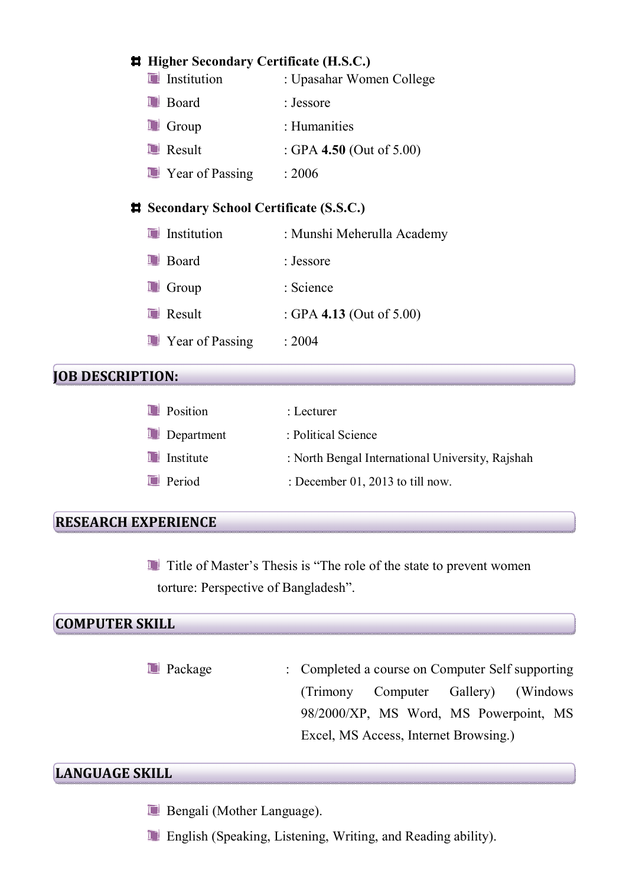|                                                | <b># Higher Secondary Certificate (H.S.C.)</b> |                             |  |
|------------------------------------------------|------------------------------------------------|-----------------------------|--|
|                                                | <b>Institution</b>                             | : Upasahar Women College    |  |
|                                                | $\blacksquare$ Board                           | : Jessore                   |  |
|                                                | $\blacksquare$ Group                           | : Humanities                |  |
|                                                | $\blacksquare$ Result                          | : GPA 4.50 (Out of $5.00$ ) |  |
|                                                | <b>E</b> Year of Passing                       | : 2006                      |  |
| <b># Secondary School Certificate (S.S.C.)</b> |                                                |                             |  |
|                                                | Institution                                    | : Munshi Meherulla Academy  |  |
|                                                | <b>Board</b>                                   | : Jessore                   |  |
|                                                | Group                                          | : Science                   |  |
|                                                |                                                |                             |  |

- **E** Result : GPA **4.13** (Out of 5.00)
- **T** Year of Passing : 2004

### **JOB DESCRIPTION:**

| : North Bengal International University, Rajshah |
|--------------------------------------------------|
|                                                  |
|                                                  |

#### **RESEARCH EXPERIENCE**

Title of Master's Thesis is "The role of the state to prevent women torture: Perspective of Bangladesh".

## **COMPUTER SKILL**

Package : Completed a course on Computer Self supporting (Trimony Computer Gallery) (Windows 98/2000/XP, MS Word, MS Powerpoint, MS Excel, MS Access, Internet Browsing.)

#### **LANGUAGE SKILL**

- **Bengali** (Mother Language).
- **English (Speaking, Listening, Writing, and Reading ability).**